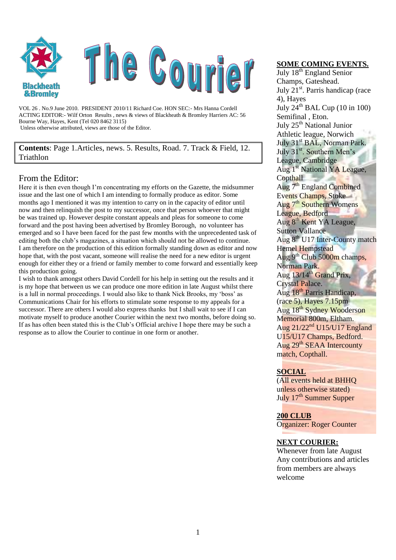

VOL 26 . No.9 June 2010. PRESIDENT 2010/11 Richard Coe. HON SEC:- Mrs Hanna Cordell ACTING EDITOR:- Wilf Orton Results , news & views of Blackheath & Bromley Harriers AC: 56 Bourne Way, Hayes, Kent (Tel 020 8462 3115) Unless otherwise attributed, views are those of the Editor.

**Contents**: Page 1.Articles, news. 5. Results, Road. 7. Track & Field, 12. Triathlon

#### From the Editor:

Here it is then even though I'm concentrating my efforts on the Gazette, the midsummer issue and the last one of which I am intending to formally produce as editor. Some months ago I mentioned it was my intention to carry on in the capacity of editor until now and then relinquish the post to my successor, once that person whoever that might be was trained up. However despite constant appeals and pleas for someone to come forward and the post having been advertised by Bromley Borough, no volunteer has emerged and so I have been faced for the past few months with the unprecedented task of editing both the club's magazines, a situation which should not be allowed to continue. I am therefore on the production of this edition formally standing down as editor and now hope that, with the post vacant, someone will realise the need for a new editor is urgent enough for either they or a friend or family member to come forward and essentially keep this production going.

I wish to thank amongst others David Cordell for his help in setting out the results and it is my hope that between us we can produce one more edition in late August whilst there is a lull in normal proceedings. I would also like to thank Nick Brooks, my 'boss' as Communications Chair for his efforts to stimulate some response to my appeals for a successor. There are others I would also express thanks but I shall wait to see if I can motivate myself to produce another Courier within the next two months, before doing so. If as has often been stated this is the Club's Official archive I hope there may be such a response as to allow the Courier to continue in one form or another.

#### **SOME COMING EVENTS.**

July 18<sup>th</sup> England Senior Champs, Gateshead. July  $21<sup>st</sup>$ . Parris handicap (race 4), Hayes July  $24^{\text{th}}$  BAL Cup (10 in 100) Semifinal , Eton. July 25<sup>th</sup> National Junior Athletic league, Norwich July 31<sup>st</sup> BAL, Norman Park July 31<sup>st</sup>. Southern Men's League, Cambridge Aug 1<sup>st</sup> National YA League, **Copthall**  $A$ ug  $7<sup>th</sup>$  England Combined Events Champs, Stoke Aug 7<sup>th</sup> Southern Womens League, Bedford Aug 8th Kent YA League, Sutton Vallance Aug 8<sup>th</sup> U17 Inter-County match Hemel Hempstead Aug 9<sup>th</sup> Club 5000m champs, Norman Park. Aug  $13/14^{\text{th}}$  Grand Prix, Crystal Palace. Aug 18th Parris Handicap, (race 5), Hayes 7.15pm Aug 18<sup>th</sup> Sydney Wooderson Memorial 800m, Eltham. Aug  $21/22^{nd}$  U15/U17 England U15/U17 Champs, Bedford. Aug 29<sup>th</sup> SEAA Intercounty match, Copthall.

#### **SOCIAL**

(All events held at BHHQ unless otherwise stated) July 17<sup>th</sup> Summer Supper

**200 CLUB** Organizer: Roger Counter

#### **NEXT COURIER:**

Whenever from late August Any contributions and articles from members are always welcome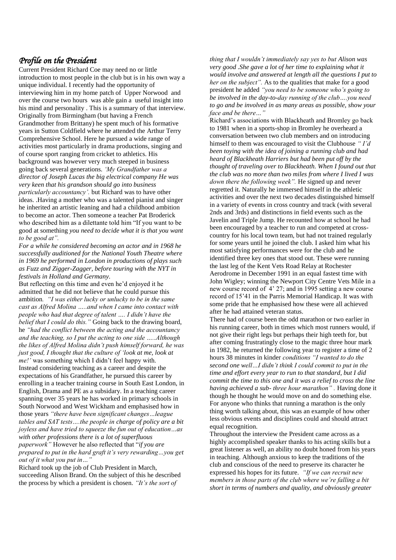#### *Profile on the President*

Current President Richard Coe may need no or little introduction to most people in the club but is in his own way a unique individual. I recently had the opportunity of interviewing him in my home patch of Upper Norwood and over the course two hours was able gain a useful insight into his mind and personality . This is a summary of that interview. Originally from Birmingham (but having a French Grandmother from Brittany) he spent much of his formative years in Sutton Coldfield where he attended the Arthur Terry Comprehensive School. Here he pursued a wide range of activities most particularly in drama productions, singing and of course sport ranging from cricket to athletics. His background was however very much steeped in business going back several generations. *"My Grandfather was a director of Joseph Lucas the big electrical company He was very keen that his grandson should go into business particularly accountancy".* but Richard was to have other ideas. .Having a mother who was a talented pianist and singer he inherited an artistic leaning and had a childhood ambition to become an actor. Then someone a teacher Pat Broderick who described him as a dilettante told him "If you want to be good at something *you need to decide what it is that you want* 

*to be good at". For a while he considered becoming an actor and in 1968 he successfully auditioned for the National Youth Theatre where in 1969 he performed in London in productions of plays such as Fuzz and Zigger-Zagger, before touring with the NYT in festivals in Holland and Germany.* 

But reflecting on this time and even he'd enjoyed it he admitted that he did not believe that he could pursue this ambition*. "I was either lucky or unlucky to be in the same cast as Alfred Molina …..and when I came into contact with people who had that degree of talent …. I didn"t have the belief that I could do this."* Going back to the drawing board, he *"had the conflict between the acting and the accountancy and the teaching, so I put the acting to one side …..Although the likes of Alfred Molina didn"t push himself forward, he was just good, I thought that the culture of 'look at me, look at me!"* was something which I didn't feel happy with. Instead considering teaching as a career and despite the expectations of his Grandfather, he pursued this career by enrolling in a teacher training course in South East London, in English, Drama and PE as a subsidary. In a teaching career spanning over 35 years he has worked in primary schools in South Norwood and West Wickham and emphasised how in those years *"there have been significant changes…league tables and SAT tests….the people in charge of policy are a bit joyless and have tried to squeeze the fun out of education…as with other professions there is a lot of superfluous paperwork"* However he also reflected that "*if you are prepared to put in the hard graft it"s very rewarding…you get out of it what you put in…"*

Richard took up the job of Club President in March, succeeding Alison Brand. On the subject of this he described the process by which a president is chosen. *"It"s the sort of* 

*thing that I wouldn"t immediately say yes to but Alison was very good .She gave a lot of her time to explaining what it would involve and answered at length all the questions I put to her on the subject".* As to the qualities that make for a good president he added *"you need to be someone who"s going to be involved in the day-to-day running of the club….you need to go and be involved in as many areas as possible, show your face and be there…"*

Richard's associations with Blackheath and Bromley go back to 1981 when in a sports-shop in Bromley he overheard a conversation between two club members and on introducing himself to them was encouraged to visit the Clubhouse *" I"d been toying with the idea of joining a running club and had heard of Blackheath Harriers but had been put off by the thought of traveling over to Blackheath. When I found out that the club was no more than two miles from where I lived I was down there the following week".* He signed up and never regretted it. Naturally he immersed himself in the athletic activities and over the next two decades distinguished himself in a variety of events in cross country and track (with several 2nds and 3rds) and distinctions in field events such as the Javelin and Triple Jump. He recounted how at school he had been encouraged by a teacher to run and competed at crosscountry for his local town team, but had not trained regularly for some years until he joined the club. I asked him what his most satisfying performances were for the club and he identified three key ones that stood out. These were running the last leg of the Kent Vets Road Relay at Rochester Aerodrome in December 1991 in an equal fastest time with John Wigley; winning the Newport City Centre Vets Mile in a new course record of 4' 27; and in 1995 setting a new course record of 15'41 in the Parris Memorial Handicap. It was with some pride that he emphasised how these were all achieved after he had attained veteran status.

There had of course been the odd marathon or two earlier in his running career, both in times which most runners would, if not give their right legs but perhaps their high teeth for, but after coming frustratingly close to the magic three hour mark in 1982, he returned the following year to register a time of 2 hours 38 minutes in kinder *conditions "I wanted to do the second one well…I didn"t think I could commit to put in the time and effort every year to run to that standard, but I did commit the time to this one and it was a relief to cross the line having achieved a sub- three hour marathon" .* Having done it though he thought he would move on and do something else. For anyone who thinks that running a marathon is the only thing worth talking about, this was an example of how other less obvious events and disciplines could and should attract equal recognition.

Throughout the interview the President came across as a highly accomplished speaker thanks to his acting skills but a great listener as well, an ability no doubt honed from his years in teaching. Although anxious to keep the traditions of the club and conscious of the need to preserve its character he expressed his hopes for its future. *"If we can recruit new members in those parts of the club where we"re falling a bit short in terms of numbers and quality, and obviously greater*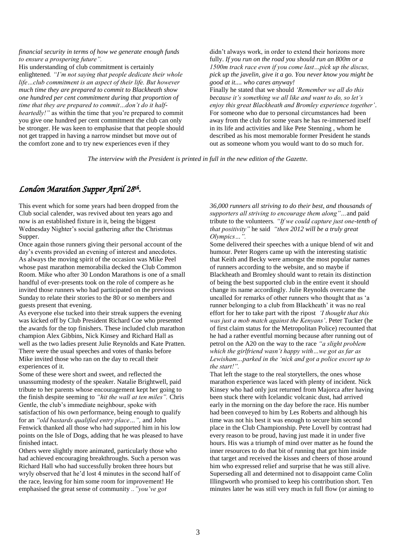*financial security in terms of how we generate enough funds to ensure a prospering future".* 

His understanding of club commitment is certainly enlightened*. "I"m not saying that people dedicate their whole life…club commitment is an aspect of their life. But however much time they are prepared to commit to Blackheath show one hundred per cent commitment during that proportion of time that they are prepared to commit…don"t do it halfheartedly!"* as within the time that you're prepared to commit you give one hundred per cent commitment the club can only be stronger. He was keen to emphasise that that people should not get trapped in having a narrow mindset but move out of the comfort zone and to try new experiences even if they

didn't always work, in order to extend their horizons more fully. *If you run on the road you should run an 800m or a 1500m track race even if you come last…pick up the discus, pick up the javelin, give it a go. You never know you might be good at it.... who cares anyway!* Finally he stated that we should *"Remember we all do this because it"s something we all like and want to do, so let"s enjoy this great Blackheath and Bromley experience together"*.

For someone who due to personal circumstances had been away from the club for some years he has re-immersed itself in its life and activities and like Pete Stenning , whom he described as his most memorable former President he stands out as someone whom you would want to do so much for.

*The interview with the President is printed in full in the new edition of the Gazette.*

## *London Marathon Supper April 28th .*

This event which for some years had been dropped from the Club social calender, was revived about ten years ago and now is an established fixture in it, being the biggest Wednesday Nighter's social gathering after the Christmas Supper.

Once again those runners giving their personal account of the day's events provided an evening of interest and anecdotes. As always the moving spirit of the occasion was Mike Peel whose past marathon memorabilia decked the Club Common Room. Mike who after 30 London Marathons is one of a small handful of ever-presents took on the role of compere as he invited those runners who had participated on the previous Sunday to relate their stories to the 80 or so members and guests present that evening.

As everyone else tucked into their streak suppers the evening was kicked off by Club President Richard Coe who presented the awards for the top finishers. These included club marathon champion Alex Gibbins, Nick Kinsey and Richard Hall as well as the two ladies present Julie Reynolds and Kate Pratten. There were the usual speeches and votes of thanks before Mike invited those who ran on the day to recall their experiences of it.

Some of these were short and sweet, and reflected the unassuming modesty of the speaker. Natalie Brightwell, paid tribute to her parents whose encouragement kept her going to the finish despite seeming to *"hit the wall at ten miles".* Chris Gentle, the club's immediate neighbour, spoke with satisfaction of his own performance, being enough to qualify for an *"old bastards qualified entry place…",* and John Fenwick thanked all those who had supported him in his low points on the Isle of Dogs, adding that he was pleased to have finished intact.

Others were slightly more animated, particularly those who had achieved encouraging breakthroughs. Such a person was Richard Hall who had successfully broken three hours but wryly observed that he'd lost 4 minutes in the second half of the race, leaving for him some room for improvement! He emphasised the great sense of community *.."you"ve got* 

*36,000 runners all striving to do their best, and thousands of supporters all striving to encourage them along"…*and paid tribute to the volunteers*. "If we could capture just one-tenth of that positivity"* he said *"then 2012 will be a truly great Olympics…".*

Some delivered their speeches with a unique blend of wit and humour. Peter Rogers came up with the interesting statistic that Keith and Becky were amongst the most popular names of runners according to the website, and so maybe if Blackheath and Bromley should want to retain its distinction of being the best supported club in the entire event it should change its name accordingly. Julie Reynolds overcame the uncalled for remarks of other runners who thought that as 'a runner belonging to a club from Blackheath' it was no real effort for her to take part with the ripost *"I thought that this was just a mob match against the Kenyans"*. Peter Tucker (he of first claim status for the Metropolitan Police) recounted that he had a rather eventful morning because after running out of petrol on the A20 on the way to the race *"a slight problem which the girlfriend wasn"t happy with…we got as far as Lewisham…parked in the "nick and got a police escort up to the start!".*

That left the stage to the real storytellers, the ones whose marathon experience was laced with plenty of incident. Nick Kinsey who had only just returned from Majorca after having been stuck there with Icelandic volcanic dust, had arrived early in the morning on the day before the race. His number had been conveyed to him by Les Roberts and although his time was not his best it was enough to secure him second place in the Club Championship. Pete Lovell by contrast had every reason to be proud, having just made it in under five hours. His was a triumph of mind over matter as he found the inner resources to do that bit of running that got him inside that target and received the kisses and cheers of those around him who expressed relief and surprise that he was still alive. Superseding all and determined not to disappoint came Colin Illingworth who promised to keep his contribution short. Ten minutes later he was still very much in full flow (or aiming to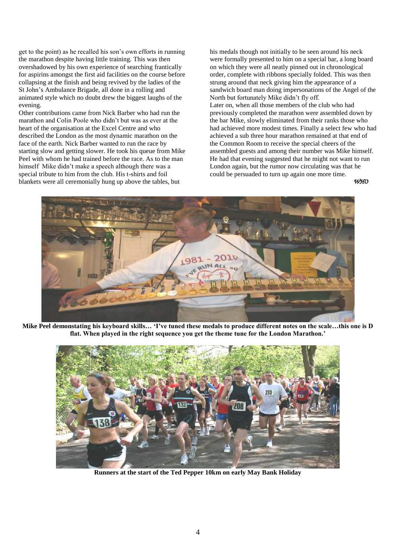get to the point) as he recalled his son's own efforts in running the marathon despite having little training. This was then overshadowed by his own experience of searching frantically for aspirins amongst the first aid facilities on the course before collapsing at the finish and being revived by the ladies of the St John's Ambulance Brigade, all done in a rolling and animated style which no doubt drew the biggest laughs of the evening.

Other contributions came from Nick Barber who had run the marathon and Colin Poole who didn't but was as ever at the heart of the organisation at the Excel Centre and who described the London as the most dynamic marathon on the face of the earth. Nick Barber wanted to run the race by starting slow and getting slower. He took his queue from Mike Peel with whom he had trained before the race. As to the man himself Mike didn't make a speech although there was a special tribute to him from the club. His t-shirts and foil blankets were all ceremonially hung up above the tables, but

his medals though not initially to be seen around his neck were formally presented to him on a special bar, a long board on which they were all neatly pinned out in chronological order, complete with ribbons specially folded. This was then strung around that neck giving him the appearance of a sandwich board man doing impersonations of the Angel of the North but fortunately Mike didn't fly off.

Later on, when all those members of the club who had previously completed the marathon were assembled down by the bar Mike, slowly eliminated from their ranks those who had achieved more modest times. Finally a select few who had achieved a sub three hour marathon remained at that end of the Common Room to receive the special cheers of the assembled guests and among their number was Mike himself. He had that evening suggested that he might not want to run London again, but the rumor now circulating was that he could be persuaded to turn up again one more time.

*WHO*



**Mike Peel demonstating his keyboard skills… 'I've tuned these medals to produce different notes on the scale…this one is D flat. When played in the right sequence you get the theme tune for the London Marathon.'**



**Runners at the start of the Ted Pepper 10km on early May Bank Holiday**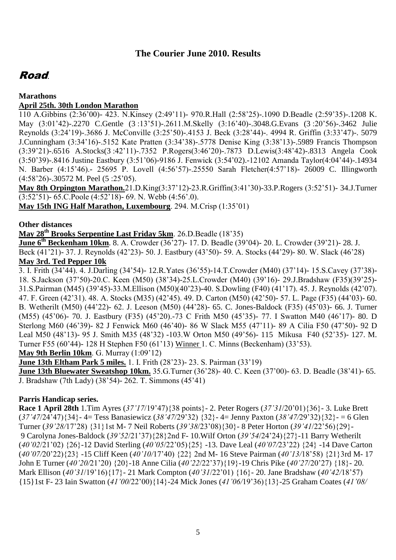## **The Courier June 2010. Results**

## Road.

#### **Marathons**

#### **April 25th. 30th London Marathon**

110 A.Gibbins (2:36'00)- 423. N.Kinsey (2:49'11)- 970.R.Hall (2:58'25)-.1090 D.Beadle (2:59'35)-.1208 K. May (3:01'42)-.2270 C.Gentle (3 :13'51)-.2611.M.Skelly (3:16'40)-.3048.G.Evans (3 :20'56)-.3462 Julie Reynolds (3:24'19)-.3686 J. McConville (3:25'50)-.4153 J. Beck (3:28'44)-. 4994 R. Griffin (3:33'47)-. 5079 J.Cunningham (3:34'16)-.5152 Kate Pratten (3:34'38)-.5778 Denise King (3:38'13)-.5989 Francis Thompson (3:39'21)-.6516 A.Stocks(3 :42'11)-.7352 P.Rogers(3:46'20)-.7873 D.Lewis(3:48'42)-.8313 Angela Cook (3:50'39)-.8416 Justine Eastbury (3:51'06)-9186 J. Fenwick (3:54'02).-12102 Amanda Taylor(4:04'44)-.14934 N. Barber (4:15'46).- 25695 P. Lovell (4:56'57)-.25550 Sarah Fletcher(4:57'18)- 26009 C. Illingworth (4:58'26)-.30572 M. Peel (5 :25'05).

**May 8th Orpington Marathon.**21.D.King(3:37'12)-23.R.Griffin(3:41'30)-33.P.Rogers (3:52'51)- 34.J.Turner (3:52'51)- 65.C.Poole (4:52'18)- 69. N. Webb (4:56'.0).

**May 15th ING Half Marathon, Luxembourg**. 294. M.Crisp (1:35'01)

#### **Other distances**

**May 28th Brooks Serpentine Last Friday 5km**. 26.D.Beadle (18'35)

**June 6th Beckenham 10km**. 8. A. Crowder (36'27)- 17. D. Beadle (39'04)- 20. L. Crowder (39'21)- 28. J. Beck (41'21)- 37. J. Reynolds (42'23)- 50. J. Eastbury (43'50)- 59. A. Stocks (44'29)- 80. W. Slack (46'28) **May 3rd. Ted Pepper 10k**

3. I. Frith (34'44). 4. J.Darling (34'54)- 12.R.Yates (36'55)-14.T.Crowder (M40) (37'14)- 15.S.Cavey (37'38)- 18. S.Jackson (37'50)-20.C. Keen (M50) (38'34)-25.L.Crowder (M40) (39'16)- 29.J.Bradshaw (F35)(39'25)- 31.S.Pairman (M45) (39'45)-33.M.Ellison (M50)(40'23)-40. S.Dowling (F40) (41'17). 45. J. Reynolds (42'07). 47. F. Green (42'31). 48. A. Stocks (M35) (42'45). 49. D. Carton (M50) (42'50)- 57. L. Page (F35) (44'03)- 60. B. Wetherilt (M50) (44'22)- 62. J. Leeson (M50) (44'28)- 65. C. Jones-Baldock (F35) (45'03)- 66. J. Turner (M55) (45'06)- 70. J. Eastbury (F35) (45'20).-73 C Frith M50 (45'35)- 77. I Swatton M40 (46'17)- 80. D Sterlong M60 (46'39)- 82 J Fenwick M60 (46'40)- 86 W Slack M55 (47'11)- 89 A Cilia F50 (47'50)- 92 D Leal M50 (48'13)- 95 J. Smith M35 (48'32) -103.W Orton M50 (49'56)- 115 Mikusa F40 (52'35)- 127. M. Turner F55 (60'44)- 128 H Stephen F50 (61'13) Winner 1. C. Minns (Beckenham) (33'53). **May 9th Berlin 10km**. G. Murray (1:09'12)

**June 13th Eltham Park 5 miles.** 1. I. Frith (28'23)- 23. S. Pairman (33'19)

**June 13th Bluewater Sweatshop 10km.** 35.G.Turner (36'28)- 40. C. Keen (37'00)- 63. D. Beadle (38'41)- 65. J. Bradshaw (7th Lady) (38'54)- 262. T. Simmons (45'41)

## **Parris Handicap series.**

**Race 1 April 28th** 1.Tim Ayres (*37"17*/19'47){38 points}- 2. Peter Rogers (*37"31*/20'01){36}- 3. Luke Brett (*37"47*/24'47){34}- 4= Tess Banasiewicz (*38"47*/29'32) {32}- 4= Jenny Paxton (*38"47/*29'32){32}- = 6 Glen Turner (*39"28/*17'28) {31}1st M- 7 Neil Roberts (*39"38*/23'08){30}- 8 Peter Horton (*39"41*/22'56){29}- 9 Carolyna Jones-Baldock (*39"52*/21'37){28}2nd F- 10.Wilf Orton (*39"54*/24'24){27}-11 Barry Wetherilt (*40"02*/21'02) {26}-12 David Sterling (*40"05*/22'05){25} -13. Dave Leal (*40"07/*23'22) {24} -14 Dave Carton (*40"07/*20'22){23} -15 Cliff Keen (*40"10/*17'40) {22} 2nd M- 16 Steve Pairman (*40"13/*18'58) {21}3rd M- 17 John E Turner (*40"20/*21'20) {20}-18 Anne Cilia (*40"22*/22'37){19}-19 Chris Pike (*40"27*/20'27) {18}- 20. Mark Ellison (*40"31*/19'16){17}- 21 Mark Compton (*40"31*/22'01) {16}- 20. Jane Bradshaw (*40"42/*18'57) {15}1st F- 23 Iain Swatton (*41"00*/22'00){14}-24 Mick Jones (*41"06/*19'36){13}-25 Graham Coates (*41"08/*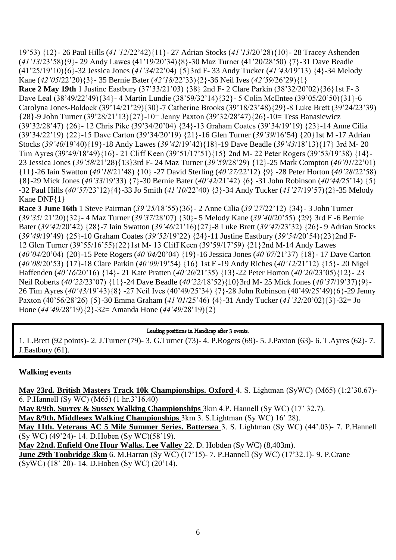19'53) {12}- 26 Paul Hills (*41"12*/22'42){11}- 27 Adrian Stocks (*41"13*/20'28){10}- 28 Tracey Ashenden (*41"13*/23'58){9}- 29 Andy Lawes (41'19/20'34){8}-30 Maz Turner (41'20/28'50) {7}-31 Dave Beadle (41'25/19'10){6}-32 Jessica Jones (*41"34*/22'04) {5}3rd F- 33 Andy Tucker (*41"43/*19'13) {4}-34 Melody Kane (*42"05*/22'20){3}- 35 Bernie Bater (*42"18*/22'33){2}-36 Neil Ives (*42"59*/26'29){1} **Race 2 May 19th** 1 Justine Eastbury (37'33/21'03) {38} 2nd F- 2 Clare Parkin (38'32/20'02){36}1st F- 3 Dave Leal (38'49/22'49){34}- 4 Martin Lundie (38'59/32'14){32}- 5 Colin McEntee (39'05/20'50){31}-6 Carolyna Jones-Baldock (39'14/21'29){30}-7 Catherine Brooks (39'18/23'48){29}-8 Luke Brett (39'24/23'39) {28}-9 John Turner (39'28/21'13){27}-10= Jenny Paxton (39'32/28'47){26}-10= Tess Banasiewicz (39'32/28'47) {26}- 12 Chris Pike (39'34/20'04) {24}-13 Graham Coates (39'34/19'19) {23}-14 Anne Cilia (39'34/22'19) {22}-15 Dave Carton (39'34/20'19) {21}-16 Glen Turner (*39"39*/16'54) {20}1st M -17 Adrian Stocks (*39"40*/19'40){19}-18 Andy Lawes (*39"42*/19'42){18}-19 Dave Beadle (*39"43*/18'13){17} 3rd M- 20 Tim Ayres (39'49/18'49){16}- 21 Cliff Keen (39'51/17'51){15} 2nd M- 22 Peter Rogers (39'53/19'38) {14}- 23 Jessica Jones (*39"58*/21'28){13}3rd F- 24 Maz Turner (*39"59*/28'29) {12}-25 Mark Compton (*40"01*/22'01) {11}-26 Iain Swatton (*40"18*/21'48) {10} -27 David Sterling (*40"27/*22'12) {9} -28 Peter Horton (*40"28*/22'58) {8}-29 Mick Jones (*40"33*/19'33) {7}-30 Bernie Bater (*40"42*/21'42) {6} -31 John Robinson (*40"44/*25'14) {5} -32 Paul Hills (*40"57*/23'12){4}-33 Jo Smith (*41"10*/22'40) {3}-34 Andy Tucker (*41"27*/19'57){2}-35 Melody Kane DNF{1}

**Race 3 June 16th** 1 Steve Pairman (*39"25/*18'55){36}- 2 Anne Cilia (*39"27*/22'12) {34}- 3 John Turner (*39"35*/ 21'20){32}- 4 Maz Turner (*39"37*/28'07) {30}- 5 Melody Kane (*39"40*/20'55) {29} 3rd F -6 Bernie Bater (*39"42*/20'42) {28}-7 Iain Swatton (*39"46*/21'16){27}-8 Luke Brett (*39"47*/23'32) {26}- 9 Adrian Stocks (*39"49*/19'49) {25}-10 Graham Coates (*39"52*/19'22) {24}-11 Justine Eastbury (*39"54/*20'54){23}2nd F-12 Glen Turner (39'55/16'55){22}1st M- 13 Cliff Keen (39'59/17'59) {21}2nd M-14 Andy Lawes (*40"04/*20'04) {20}-15 Pete Rogers (*40"04/*20'04) {19}-16 Jessica Jones (*40"07*/21'37) {18}- 17 Dave Carton (*40"08*/20'53) {17}-18 Clare Parkin (*40"09*/19'54) {16} 1st F -19 Andy Riches (*40"12*/21'12) {15}- 20 Nigel Haffenden (*40"16*/20'16) {14}- 21 Kate Pratten (*40"20*/21'35) {13}-22 Peter Horton (*40"20*/23'05){12}- 23 Neil Roberts (*40"22*/23'07) {11}-24 Dave Beadle (*40"22/*18'52){10}3rd M- 25 Mick Jones (*40"37*/19'37){9}- 26 Tim Ayres (*40"43/*19'43){8} -27 Neil Ives (40'49/25'34) {7}-28 John Robinson (40'49/25'49){6}-29 Jenny Paxton (40'56/28'26) {5}-30 Emma Graham (*41"01*/25'46) {4}-31 Andy Tucker (*41"32*/20'02){3}-32= Jo Hone (*44"49/*28'19){2}-32= Amanda Hone (*44"49*/28'19){2}

#### Leading positions in Handicap after 3 events.

1. L.Brett (92 points)- 2. J.Turner (79)- 3. G.Turner (73)- 4. P.Rogers (69)- 5. J.Paxton (63)- 6. T.Ayres (62)- 7. J.Eastbury (61).

#### **Walking events**

**May 23rd. British Masters Track 10k Championships. Oxford** 4. S. Lightman (SyWC) (M65) (1:2'30.67)- 6. P.Hannell (Sy WC) (M65) (1 hr.3'16.40)

**May 8/9th. Surrey & Sussex Walking Championships** 3km 4.P. Hannell (Sy WC) (17' 32.7).

**May 8/9th. Middlesex Walking Championships** 3km 3. S.Lightman (Sy WC) 16' 28).

**May 11th. Veterans AC 5 Mile Summer Series. Battersea** 3. S. Lightman (Sy WC) (44'.03)- 7. P.Hannell (Sy WC) (49'24)- 14. D.Hoben (Sy WC)(58'19).

**May 22nd. Enfield One Hour Walks. Lee Valley** 22. D. Hobden (Sy WC) (8,403m).

**June 29th Tonbridge 3km** 6. M.Harran (Sy WC) (17'15)- 7. P.Hannell (Sy WC) (17'32.1)- 9. P.Crane (SyWC) (18' 20)- 14. D.Hoben (Sy WC) (20'14).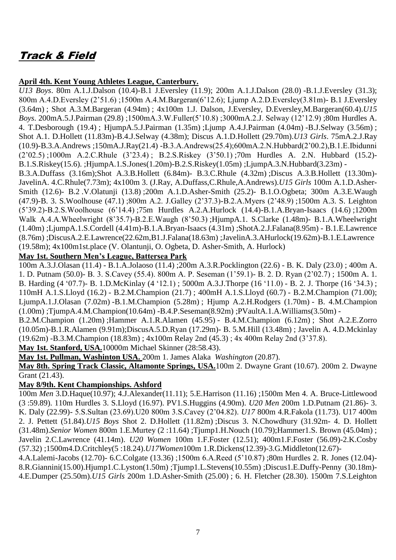# Track & Field

#### **April 4th. Kent Young Athletes League, Canterbury.**

*U13 Boys*. 80m A.1.J.Dalson (10.4)-B.1 J.Eversley (11.9); 200m A.1.J.Dalson (28.0) -B.1.J.Eversley (31.3); 800m A.4.D.Eversley (2'51.6) ;1500m A.4.M.Bargeran(6'12.6); Ljump A.2.D.Eversley(3.81m)- B.1 J.Eversley (3.64m) ; Shot A.3.M.Bargeran (4.94m) ; 4x100m 1.J. Dalson, J.Eversley, D.Eversley,M.Bargeran(60.4).*U15 Boys*. 200mA.5.J.Pairman (29.8) ;1500mA.3.W.Fuller(5'10.8) ;3000mA.2.J. Selway (12'12.9) ;80m Hurdles A. 4. T.Desborough (19.4) ; HjumpA.5.J.Pairman (1.35m) ;Ljump A.4.J.Pairman (4.04m) -B.J.Selway (3.56m) ; Shot A.1. D.Hollett (11.83m)-B.4.J.Selway (4.38m); Discus A.1.D.Hollett (29.70m).*U13 Girls*. 75mA.2.J.Ray (10.9)-B.3.A.Andrews ;150mA.J.Ray(21.4) -B.3.A.Andrews(25.4);600mA.2.N.Hubbard(2'00.2),B.1.E.Ibidunni (2'02.5) ;1000m A.2.C.Rhule (3'23.4) ; B.2.S.Riskey (3'50.1) ;70m Hurdles A. 2.N. Hubbard (15.2)- B.1.S.Riskey(15.6). ;HjumpA.1.S.Jones(1.20m)-B.2.S.Riskey(1.05m) ;LjumpA.3.N.Hubbard(3.23m) -

B.3.A.Duffass (3.16m);Shot A.3.B.Hollett (6.84m)- B.3.C.Rhule (4.32m) ;Discus A.3.B.Hollett (13.30m)- JavelinA. 4.C.Rhule(7.73m); 4x100m 3. (J.Ray, A.Duffass,C.Rhule,A.Andrews).*U15 Girls* 100m A.1.D.Asher-Smith (12.6)- B.2 .V.Olatunji (13.8) ;200m A.1.D.Asher-Smith (25.2)- B.1.O.Ogbeta; 300m A.3.E.Waugh (47.9)-B. 3. S.Woolhouse (47.1) ;800m A.2. J.Galley (2'37.3)-B.2.A.Myers (2'48.9) ;1500m A.3. S. Leighton (5'39.2)-B.2.S.Woolhouse (6'14.4) ;75m Hurdles A.2.A.Hurlock (14.4)-B.1.A.Bryan-Isaacs (14.6) ;1200m Walk A.4.A.Wheelwright (8'35.7)-B.2.E.Waugh (8'50.3) ;HjumpA.1. S.Clarke (1.48m)- B.1.A.Wheelwright (1.40m) ;LjumpA.1.S.Cordell (4.41m)-B.1.A.Bryan-Isaacs (4.31m) ;ShotA.2.J.Falana(8.95m) - B.1.E.Lawrence (8.76m) ;DiscusA.2.E.Lawrence(22.62m,B1.J.Falana(18.63m) ;JavelinA.3.AHurlock(19.62m)-B.1.E.Lawrence (19.58m); 4x100m1st.place (V. Olantunji, O. Ogbeta, D. Asher-Smith, A. Hurlock)

#### **May 1st. Southern Men's League, Battersea Park**

100m A.3.J.Olasan (11.4) - B.1.A.Jolaoso (11.4) ;200m A.3.R.Pocklington (22.6) - B. K. Daly (23.0) ; 400m A. 1. D. Putnam (50.0)- B. 3. S.Cavey (55.4). 800m A. P. Seseman (1'59.1)- B. 2. D. Ryan (2'02.7) ; 1500m A. 1. B. Harding (4 '07.7)- B. 1.D.McKinlay (4 '12.1) ; 5000m A.3.J.Thorpe (16 '11.0) - B. 2. J. Thorpe (16 '34.3) ; 110mH A.1.S.Lloyd (16.2) - B.2.M.Champion (21.7) ; 400mH A.1.S.Lloyd (60.7) - B.2.M.Champion (71.00); LjumpA.1.J.Olasan (7.02m) -B.1.M.Champion (5.28m) ; Hjump A.2.H.Rodgers (1.70m) - B. 4.M.Champion (1.00m) ;TjumpA.4.M.Champion(10.64m) -B.4.P.Seseman(8.92m) ;PVaultA.1.A.Williams(3.50m) -

B.2.M.Champion (1.20m) ;Hammer A.1.R.Alamen (45.95) - B.4.M.Champion (6.12m) ; Shot A.2.E.Zorro (10.05m)-B.1.R.Alamen (9.91m);DiscusA.5.D.Ryan (17.29m)- B. 5.M.Hill (13.48m) ; Javelin A. 4.D.Mckinlay (19.62m) -B.3.M.Champion (18.83m) ; 4x100m Relay 2nd (45.3) ; 4x 400m Relay 2nd (3'37.8).

**May 1st. Stanford, USA.**10000m Michael Skinner (28:58.43).

**May 1st. Pullman, Washinton USA.** 200m 1. James Alaka *Washington* (20.87).

**May 8th. Spring Track Classic, Altamonte Springs, USA.**100m 2. Dwayne Grant (10.67). 200m 2. Dwayne Grant (21.43).

#### **May 8/9th. Kent Championships. Ashford**

100m *Men* 3.D.Haque(10.97); 4.J.Alexander(11.11); 5.E.Harrison (11.16) ;1500m Men 4. A. Bruce-Littlewood (3 :59.89). 110m Hurdles 3. S.Lloyd (16.97). PV1.S.Huggins (4.90m). *U20 Men* 200m 1.D.Putnam (21.86)- 3. K. Daly (22.99)- 5.S.Sultan (23.69).U20 800m 3.S.Cavey (2'04.82). *U17* 800m 4.R.Fakola (11.73). U17 400m 2. J. Pettett (51.84).*U15 Boys* Shot 2. D.Hollett (11.82m) ;Discus 3. N.Chowdhury (31.92m- 4. D. Hollett (31.48m).*Senior Women* 800m 1.E.Murtey (2 :11.64) ;Tjump1.H.Nouch (10.79);Hammer1.S. Brown (45.04m) ; Javelin 2.C.Lawrence (41.14m). *U20 Women* 100m 1.F.Foster (12.51); 400m1.F.Foster (56.09)-2.K.Cosby (57.32) ;1500m4.D.Critchley(5 :18.24).*U17Women*100m 1.R.Dickens(12.39)-3.G.Middleton(12.67)-

4.A.Lalemi-Jacobs (12.70)- 6.C.Colgate (13.36) ;1500m 6.A.Reed (5'10.87) ;80m Hurdles 2. R. Jones (12.04)- 8.R.Giannini(15.00).Hjump1.C.Lyston(1.50m) ;Tjump1.L.Stevens(10.55m) ;Discus1.E.Duffy-Penny (30.18m)- 4.E.Dumper (25.50m).*U15 Girls* 200m 1.D.Asher-Smith (25.00) ; 6. H. Fletcher (28.30). 1500m 7.S.Leighton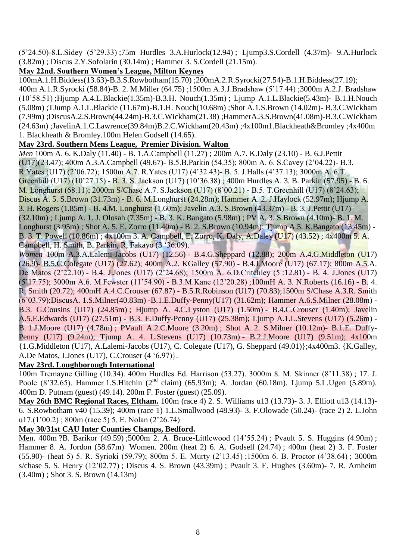(5'24.50)-8.L.Sidey (5'29.33) ;75m Hurdles 3.A.Hurlock(12.94) ; Ljump3.S.Cordell (4.37m)- 9.A.Hurlock (3.82m) ; Discus 2.Y.Sofolarin (30.14m) ; Hammer 3. S.Cordell (21.15m).

## **May 22nd. Southern Women's League, Milton Keynes**

100mA.1.H.Biddess(13.63)-B.3.S.Rowbotham(15.70) ;200mA.2.R.Syrocki(27.54)-B.1.H.Biddess(27.19); 400m A.1.R.Syrocki (58.84)-B. 2. M.Miller (64.75) ;1500m A.3.J.Bradshaw (5'17.44) ;3000m A.2.J. Bradshaw (10'58.51) ;Hjump A.4.L.Blackie(1.35m)-B.3.H. Nouch(1.35m) ; Ljump A.1.L.Blackie(5.43m)- B.1.H.Nouch (5.08m) ;TJump A.1.L.Blackie (11.67m)-B.1.H. Nouch(10.68m) ;Shot A.1.S.Brown (14.02m)- B.3.C.Wickham (7.99m) ;DiscusA.2.S.Brown(44.24m)-B.3.C.Wickham(21.38) ;HammerA.3.S.Brown(41.08m)-B.3.C.Wickham (24.63m) ;JavelinA.1.C.Lawrence(39.84m)B.2.C.Wickham(20.43m) ;4x100m1.Blackheath&Bromley ;4x400m 1. Blackheath & Bromley.100m Helen Godsell (14.65).

#### **May 23rd. Southern Mens League, Premier Division. Walton**

*Men* 100m A. 6. K.Daly (11.40) - B. 1.A.Campbell (11.27); 200m A.7. K.Daly (23.10) - B. 6.J.Pettit (U17)(23.47); 400m A.3.A.Campbell (49.67)- B.5.B.Parkin (54.35); 800m A. 6. S.Cavey (2'04.22)- B.3. R.Yates (U17) (2'06.72); 1500m A.7. R.Yates (U17) (4'32.43)- B. 5. J.Halls (4'37.13); 3000m A. 6.T. Greenhill (U17) (10'27.15) - B. 3. S. Jackson (U17) (10'36.38) ; 400m Hurdles A. 3. B. Parkin (57.95) - B. 6. M. Longhurst (68.11); 2000m S/Chase A.7. S.Jackson (U17) (8'00.21) - B.5. T.Greenhill (U17) (8'24.63); Discus A. 5. S.Brown (31.73m) - B. 6. M.Longhurst (24.28m); Hammer A. 2. J.Haylock (52.97m); Hjump A. 3. H. Rogers (1.85m) - B. 4.M. Longhurst (1.60m); Javelin A.3. S.Brown (43.37m) - B. 3. J.Pettit (U17) (32.10m) ; Ljump A. 1. J. Olosah (7.35m) - B. 3. K. Bangato (5.98m) ; PV A. 3. S.Brown (4.10m)- B. 1. M. Longhurst (3.95m) ; Shot A. 5. E. Zorro (11.40m) - B. 2. S.Brown (10.94m); Tjump A.5. K.Bangato (13.45m) - B. 3. T. Powell (10.86m) ; 4x100m 3. A. Campbell, E. Zorro, K. Daly, A.Daley (U17) (43.52) ; 4x400m 5. A. Campbell, H. Smith, B. Parkin, R, Fakayo (3 '36.09).

*Women* 100m A.3.A.Lalemi-Jacobs (U17) (12.56) - B.4.G.Sheppard (12.88); 200m A.4.G.Middleton (U17) (26.9)- B.5.C.Colegate (U17) (27.62); 400m A.2. KGalley (57.90) - B.4.J.Moore (U17) (67.17); 800m A.5.A. De Matos (2'22.10) - B.4. J.Jones (U17) (2'24.68); 1500m A. 6.D.Critchley (5 :12.81) - B. 4. J.Jones (U17) (5'17.75); 3000m A.6. M.Fewster (11'54.90) - B.3.M.Kane (12'20.28) ;100mH A. 3. N.Roberts (16.16) - B. 4. R. Smith (20.72); 400mH A.4.C.Crouser (67.87) - B.5.R.Robinson (U17) (70.83);1500m S/Chase A.3.R. Smith (6'03.79);DiscusA. 1.S.Milner(40.83m) -B.1.E.Duffy-Penny(U17) (31.62m); Hammer A.6.S.Milner (28.08m) - B.3. G.Cousins (U17) (24.85m) ; Hjump A. 4.C.Lyston (U17) (1.50m) - B.4.C.Crouser (1.40m); Javelin A.5.E.Edwards (U17) (27.51m) - B.3. E.Duffy-Penny (U17) (25.38m); Ljump A.1.L.Stevens (U17) (5.26m) - B. 1.J.Moore (U17) (4.78m) ; PVault A.2.C.Moore (3.20m) ; Shot A. 2. S.Milner (10.12m)- B.1.E. Duffy-Penny (U17) (9.24m); Tjump A. 4. L.Stevens (U17) (10.73m) - B.2.J.Moore (U17) (9.51m); 4x100m {1.G.Middleton (U17), A.Lalemi-Jacobs (U17), C. Colegate (U17), G. Sheppard (49.01)};4x400m3. {K.Galley, A.De Matos, J.Jones (U17), C.Crouser (4 '6.97)}.

#### **May 23rd. Loughborough International**

100m Tremayne Gilling (10.34). 400m Hurdles Ed. Harrison (53.27). 3000m 8. M. Skinner (8'11.38) ; 17. J. Poole (8'32.65). Hammer 1.S.Hitchin (2<sup>nd</sup> claim) (65.93m); A. Jordan (60.18m). Ljump 5.L.Ugen (5.89m). 400m D. Putnam (guest) (49.14). 200m F. Foster (guest) (25.09).

**May 26th BMC Regional Races, Eltham.** 100m (race 4) 2. S. Williams u13 (13.73)- 3. J. Elliott u13 (14.13)- 6. S.Rowbotham v40 (15.39); 400m (race 1) 1.L.Smallwood (48.93)- 3. F.Olowade (50.24)- (race 2) 2. L.John u17.(1'00.2) ; 800m (race 5) 5. E. Nolan (2'26.74)

#### **May 30/31st CAU Inter Counties Champs, Bedford.**

Men. 400m ?B. Barikor (49.59) ;5000m 2. A. Bruce-Littlewood (14'55.24) ; Pvault 5. S. Huggins (4.90m) ; Hammer 8. A. Jordon (58.67m) Women. 200m (heat 2) 6. A. Godsell (24.74) ; 400m (heat 2) 3. F. Foster (55.90)- (heat 5) 5. R. Syrioki (59.79); 800m 5. E. Murty (2'13.45) ;1500m 6. B. Proctor (4'38.64) ; 3000m s/chase 5. S. Henry (12'02.77) ; Discus 4. S. Brown (43.39m) ; Pvault 3. E. Hughes (3.60m)- 7. R. Arnheim (3.40m) ; Shot 3. S. Brown (14.13m)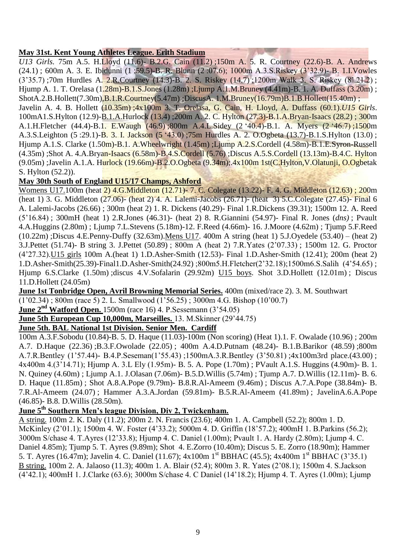#### **May 31st. Kent Young Athletes League. Erith Stadium**

*U13 Girls.* 75m A.5. H.Lloyd (11.6)- B.2.G. Cain (11.2) ;150m A. 5. R. Courtney (22.6)-B. A. Andrews (24.1) ; 600m A. 3. E. Ibidunni (1 :59.5)-B. R. Blunn (2 :07.6); 1000m A.3.S.Riskey (3'32.9)- B. 1.I.Vowles (3'35.7) ;70m Hurdles A. 2.R.Courtney (14.3)-B. 2. S. Riskey (14.7) ;1200m Walk 3. S. Riskey (8'.21.2) ; Hjump A. 1. T. Orelasa (1.28m)-B.1.S.Jones (1.28m); Ljump A.1.M.Bruney (4.41m)-B. 1. A. Duffass (3.20m); ShotA.2.B.Hollett(7.30m),B.1.R.Courtney(5.47m) ;DiscusA. 1.M.Bruney(16.79m)B.1.B.Hollett(15.40m) ;

Javelin A. 4. B. Hollett (10.35m) ;4x100m 3. T. Orelasa, G. Cain, H. Lloyd, A. Duffass (60.1).*U15 Girls*. 100mA1.S.Hylton (12.9)-B.1.A.Hurlock (13.4) ;200m A. 2. C. Hylton (27.3)-B.1.A.Bryan-Isaacs (28.2) ; 300m A.1.H.Fletcher (44.4)-B.1. E.Waugh (46.9) ;800m A.4.L.Sidey (2 '40.4)-B.1. A. Myers (2 '46.7) ;1500m A.3.S.Leighton (5 :29.1)-B. 3. I. Jackson (5 '43.0) ;75m Hurdles A. 2. O.Ogbeta (13.7)-B.1.S.Hylton (13.0) ; Hjump A.1.S. Clarke (1.50m)-B.1. A.Wheelwright (1.45m) ;Ljump A.2.S.Cordell (4.58m)-B.1.E.Syron-Russell (4.35m) ;Shot A. 4.A.Bryan-Isaacs (6.58m)-B.4.S.Cordell (5.76) ;Discus A.5.S.Cordell (13.13m)-B.4.C. Hylton (9.05m) ;Javelin A.1.A. Hurlock (19.66m)-B.2.O.Ogbeta (9.34m);.4x100m 1st(C.Hylton,V.Olatunji, O.Ogbetak S. Hylton (52.2)).

#### **May 30th South of England U15/17 Champs, Ashford**

Womens U17.100m (heat 2) 4.G.Middleton (12.71)- 7. C. Colegate (13.22)- F. 4. G. Middleton (12.63) ; 200m (heat 1) 3. G. Middleton (27.06)- (heat 2) 4. A. Lalemi-Jacobs (26.71)- (heat 3) 5.C.Colegate (27.45)- Final 6 A. Lalemi-Jacobs (26.66) ; 300m (heat 2) 1. R. Dickens (40.29)- Final 1.R.Dickens (39.31); 1500m 12. A. Reed (5'16.84) ; 300mH (heat 1) 2.R.Jones (46.31)- (heat 2) 8. R.Giannini (54.97)- Final R. Jones (*dns)* ; Pvault 4.A.Huggins (2.80m) ; Ljump 7.L.Stevens (5.18m)-12. F.Reed (4.66m)- 16. J.Moore (4.62m) ; Tjump 5.F.Reed (10.22m) ;Discus 4.E.Penny-Duffy (32.63m).Mens U17. 400m A string (heat 1) 5.J.Oyedele (53.40) – (heat 2) 3.J.Pettet (51.74)- B string 3. J.Pettet (50.89) ; 800m A (heat 2) 7.R.Yates (2'07.33) ; 1500m 12. G. Proctor (4'27.32).U15 girls 100m A.(heat 1) 1.D.Asher-Smith (12.53)- Final 1.D.Asher-Smith (12.41); 200m (heat 2) 1.D.Asher-Smith(25.39)-Final1.D.Asher-Smith(24.92) ;800m5.H.Fletcher(2'32.18);1500m6.S.Salih (4'54.65) ; Hjump 6.S.Clarke (1.50m) ;discus 4.V.Sofalarin (29.92m) U15 boys. Shot 3.D.Hollett (12.01m) ; Discus 11.D.Hollett (24.05m)

**June 1st Tonbridge Open, Avril Browning Memorial Series.** 400m (mixed/race 2). 3. M. Southwart

(1'02.34) ; 800m (race 5) 2. L. Smallwood (1'56.25) ; 3000m 4.G. Bishop (10'00.7)

**June 2nd Watford Open.** 1500m (race 16) 4. P.Sessemann (3'54.05)

**June 5th European Cup 10,000m, Marseilles.** 13. M.Skinner (29'44.75)

#### **June 5th. BAL National 1st Division. Senior Men. Cardiff**

100m A.3.F.Sobodu (10.84)-B. 5. D. Haque (11.03)-100m (Non scoring) (Heat 1).1. F. Owalade (10.96) ; 200m A.7. D.Haque (22.36) ;B.3.F.Owolade (22.05) ; 400m A.4.D.Putnam (48.24)- B.1.B.Barikor (48.59) ;800m A.7.R.Bentley (1'57.44)- B.4.P.Seseman(1'55.43) ;1500mA.3.R.Bentley (3'50.81) ;4x100m3rd place.(43.00) ; 4x400m 4.(3'14.71); Hjump A. 3.L Ely (1.95m)- B. 5. A. Pope (1.70m) ; PVault A.1.S. Huggins (4.90m)- B. 1. N. Quiney (4.60m) ; Ljump A.1. J.Olasan (7.06m)- B.5.D.Willis (5.74m) ; Tjump A.7. D.Willis (12.11m)- B. 6. D. Haque (11.85m) ; Shot A.8.A.Pope (9.79m)- B.8.R.Al-Ameem (9.46m) ; Discus A.7.A.Pope (38.84m)- B. 7.R.Al-Ameem (24.07) ; Hammer A.3.A.Jordan (59.81m)- B.5.R.Al-Ameem (41.89m) ; JavelinA.6.A.Pope (46.85)- B.8. D.Willis (28.50m).

## **June 5th Southern Men's league Division, Div 2, Twickenham.**

A string. 100m 2. K. Daly (11.2); 200m 2. N. Francis (23.6); 400m 1. A. Campbell (52.2); 800m 1. D. McKinley (2'01.1); 1500m 4. W. Foster (4'33.2); 5000m 4. D. Griffin (18'57.2); 400mH 1. B.Parkins (56.2); 3000m S/chase 4. T.Ayres (12'33.8); Hjump 4. C. Daniel (1.00m); Pvault 1. A. Hardy (2.80m); Ljump 4. C. Daniel 4.85m); Tjump 5. T. Ayres (9.89m); Shot 4. E.Zorro (10.40m); Discus 5. E. Zorro (18.90m); Hammer 5. T. Ayres (16.47m); Javelin 4. C. Daniel (11.67); 4x100m 1st BBHAC (45.5); 4x400m 1st BBHAC (3'35.1) B string. 100m 2. A. Jalaoso (11.3); 400m 1. A. Blair (52.4); 800m 3. R. Yates (2'08.1); 1500m 4. S.Jackson (4'42.1); 400mH 1. J.Clarke (63.6); 3000m S/chase 4. C Daniel (14'18.2); Hjump 4. T. Ayres (1.00m); Ljump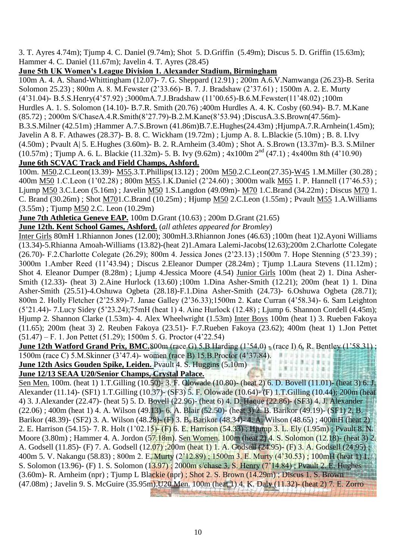3. T. Ayres 4.74m); Tjump 4. C. Daniel (9.74m); Shot 5. D.Griffin (5.49m); Discus 5. D. Griffin (15.63m); Hammer 4. C. Daniel (11.67m); Javelin 4. T. Ayres (28.45)

#### **June 5th UK Women's League Division 1. Alexander Stadium, Birmingham**

100m A. 4. A. Shand-Whittingham (12.07)- 7. G. Sheppard (12.91) ; 200m A.6.V.Namwanga (26.23)-B. Serita Solomon 25.23) ; 800m A. 8. M.Fewster (2'33.66)- B. 7. J. Bradshaw (2'37.61) ; 1500m A. 2. E. Murty (4'31.04)- B.5.S.Henry(4'57.92) ;3000mA.7.J.Bradshaw (11'00.65)-B.6.M.Fewster(11'48.02) ;100m Hurdles A. 1. S. Solomon (14.10)- B.7.R. Smith (20.76) ;400m Hurdles A. 4. K. Cosby (60.94)- B.7. M.Kane (85.72) ; 2000m S/ChaseA.4.R.Smith(8'27.79)-B.2.M.Kane(8'53.94) ;DiscusA.3.S.Brown(47.56m)- B.3.S.Milner (42.51m) ;Hammer A.7.S.Brown (41.86m)B.7.E.Hughes(24.43m) ;HjumpA.7.R.Arnhein(1.45m); Javelin A 8. F. Athawes (28.37)- B. 8. C. Wickham (19.72m) ; Ljump A. 8. L.Blackie (5.10m) ; B. 8. I.Ivy

(4.50m) ; Pvault A| 5. E.Hughes (3.60m)- B. 2. R.Arnheim (3.40m) ; Shot A. S.Brown (13.37m)- B.3. S.Milner  $(10.57m)$ ; Tjump A. 6. L. Blackie (11.32m)- 5. B. Ivy (9.62m);  $4x100m$  2<sup>nd</sup> (47.1);  $4x400m$  8th (4'10.90)

## **June 6th SCVAC Track and Field Champs, Ashford.**

100m. M50.2.C.Leon(13.39)- M55.3.T.Phillips(13.12) ; 200m M50.2.C.Leon(27.35)-W45 1.M.Miller (30.28) ; 400m M50 1.C.Leon (1'02.28) ; 800m M55.1.K.Daniel (2'24.60) ; 3000m walk M65 1. P. Hannell (17'46.53) ; Ljump M50 3.C.Leon (5.16m) ; Javelin M50 1.S.Langdon (49.09m)- M70 1.C.Brand (34.22m) ; Discus M70 1. C. Brand (30.26m) ; Shot M701.C.Brand (10.25m) ; Hjump M50 2.C.Leon (1.55m) ; Pvault M55 1.A.Williams (3.55m) ; Tjump M50 2.C. Leon (10.29m)

**June 7th Athletica Geneve EAP.** 100m D.Grant (10.63) ; 200m D.Grant (21.65)

**June 12th. Kent School Games, Ashford.** (*all athletes appeared for Bromley*)

Inter Girls 80mH 1.Rhiannon Jones (12.00); 300mH.3.Rhiannon Jones (46.63) ;100m (heat 1)2.Ayoni Williams (13.34)-5.Rhianna Amoah-Williams (13.82)-(heat 2)1.Amara Lalemi-Jacobs(12.63);200m 2.Charlotte Colegate (26.70)- F.2.Charlotte Colegate (26.29); 800m 4. Jessica Jones (2'23.13) ;1500m 7. Hope Stenning (5'23.39) ; 3000m 1.Amber Reed (11'43.94) ; Discus 2.Eleanor Dumper (28.24m) ; Tjump 1.Laura Stevens (11.12m) ; Shot 4. Eleanor Dumper (8.28m) ; Ljump 4.Jessica Moore (4.54) Junior Girls 100m (heat 2) 1. Dina Asher-Smith (12.33)- (heat 3) 2.Aine Hurlock (13.60) ;100m 1.Dina Asher-Smith (12.21); 200m (heat 1) 1. Dina Asher-Smith (25.51)-4.Oshuwa Ogbeta (28.18)-F.1.Dina Asher-Smith (24.73)- 6.Oshuwa Ogbeta (28.71); 800m 2. Holly Fletcher (2'25.89)-7. Janae Galley (2'36.33);1500m 2. Kate Curran (4'58.34)- 6. Sam Leighton (5'21.44)- 7.Lucy Sidey (5'23.24);75mH (heat 1) 4. Aine Hurlock (12.48) ; Ljump 6. Shannon Cordell (4.45m); Hjump 2. Shannon Clarke (1.53m)- 4. Alex Wheelwright (1.53m) Inter Boys 100m (heat 1) 3. Rueben Fakoya (11.65); 200m (heat 3) 2. Reuben Fakoya (23.51)- F.7.Rueben Fakoya (23.62); 400m (heat 1) 1.Jon Pettet (51.47) – F. 1. Jon Pettet (51.29); 1500m 5. G. Proctor (4'22.54)

**June 12th Watford Grand Prix, BMC.800m** (race G) 5.B. Harding (1'54.0) - (race I) 6. R. Bentley (1'58.31) ; 1500m (race C) 5.M.Skinner (3'47.4)- women (race B) 15.B.Proctor (4'37.84). **Brusse sami** 新型  $\mathbf{u}$ まま 市立日

 $1.37.17$ 

加重量 上海

**June 12th Asics Gouden Spike, Leiden.** Pvault 4. S. Huggins (5.10m)

#### **June 12/13 SEAA U20/Senior Champs, Crystal Palace.**

Sen Men. 100m. (heat 1) 1.T.Gilling (10.50)- 3. F. Olowade (10.80)- (heat 2) 6. D. Bovell (11.01)- (heat 3) 6. J. Alexander (11.14)- (SF1) 1.T.Gilling (10.37)- (SF3) 5. F. Olowade (10.64)- (F) 1.T.Gilling (10.44); 200m (heat 4) 3. J.Alexander (22.47)- (heat 5) 5. D. Bovell (22.96)- (heat 6) 4. D. Haque (22.86)- (SF3) 4. J. Alexander (22.06) ; 400m (heat 1) 4. A. Wilson (49.13)- 6. A. Blair (52.50)- (heat 3) 2. B. Barikor (49.19)- (SF1) 2. B. Barikor (48.39)- (SF2) 3. A. Wilson (48.28)- (F) 3. B. Barikor (48.34)- 4. A. Wilson (48.65) ; 400mH (heat 2) 2. E. Harrison (54.15)- 7. R. Holt (1'02.15)- (F) 6. E. Harrison (54.33) ; Hjump 3. L. Ely (1.95m) ; Pvault 8. N. Moore (3.80m) ; Hammer 4. A. Jordon (57.18m). Sen Women. 100m (heat 2) 4. S. Solomon (12.18)- (heat 3) 2. A. Godsell (11.85)- (F) 7. A. Godsell (12.07) ;200m (heat 1) 1. A. Godsell (24.95)- (F) 3. A. Godsell (24.95) ; 400m 5. V. Nakangu (58.83); 800m 2. E. Murty (2'12.89); 1500m 3. E. Murty (4'30.53); 100mH (heat 1) 1. S. Solomon (13.96)- (F) 1. S. Solomon (13.97) ; 2000m s/chase 3. S. Henry (7'14.84) ; Pvault 2. E. Hughes (3.60m)- R. Arnheim (npr) ; Tjump L Blackie (npr) ; Shot 2. S. Brown (14.29m) ; Discus 1. S. Brown (47.08m) ; Javelin 9. S. McGuire (35.95m).U20 Men. 100m (heat 1) 4. K. Daly (11.32)- (heat 2) 7. E. Zorro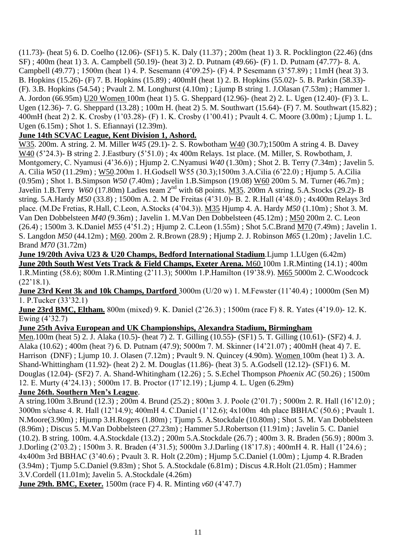(11.73)- (heat 5) 6. D. Coelho (12.06)- (SF1) 5. K. Daly (11.37) ; 200m (heat 1) 3. R. Pocklington (22.46) (dns SF) ; 400m (heat 1) 3. A. Campbell (50.19)- (heat 3) 2. D. Putnam (49.66)- (F) 1. D. Putnam (47.77)- 8. A. Campbell (49.77) ; 1500m (heat 1) 4. P. Sesemann (4'09.25)- (F) 4. P Sesemann (3'57.89) ; 11mH (heat 3) 3. B. Hopkins (15.26)- (F) 7. B. Hopkins (15.89) ; 400mH (heat 1) 2. B. Hopkins (55.02)- 5. B. Parkin (58.33)- (F). 3.B. Hopkins (54.54) ; Pvault 2. M. Longhurst (4.10m) ; Ljump B string 1. J.Olasan (7.53m) ; Hammer 1. A. Jordon (66.95m) U20 Women 100m (heat 1) 5. G. Sheppard (12.96)- (heat 2) 2. L. Ugen (12.40)- (F) 3. L. Ugen (12.36)- 7. G. Sheppard (13.28) ; 100m H. (heat 2) 5. M. Southwart (15.64)- (F) 7. M. Southwart (15.82) ; 400mH (heat 2) 2. K. Crosby (1'03.28)- (F) 1. K. Crosby (1'00.41) ; Pvault 4. C. Moore (3.00m) ; Ljump 1. L. Ugen (6.15m) ; Shot 1. S. Efiannayi (12.39m).

## **June 14th SCVAC League, Kent Division 1, Ashord.**

W35. 200m. A string. 2. M. Miller *W45* (29.1)- 2. S. Rowbotham W40 (30.7);1500m A string 4. B. Davey W40 (5'24.3)- B string 2. J.Eastbury (5'51.0) ; 4x 400m Relays. 1st place. (M. Miller, S. Rowbotham, J. Montgomery, C. Nyamusi (4'36.6)) ; Hjump 2. C.Nyamusi *W40* (1.30m) ; Shot 2. B. Terry (7.34m) ; Javelin 5. A. Cilia *W50* (11.29m) ; W50.200m 1. H.Godsell W55 (30.3);1500m 3.A.Cilia (6'22.0) ; Hjump 5. A.Cilia (0.95m) ; Shot 1. B.Simpson *W50* (7.40m) ; Javelin 1.B.Simpson (19.08) W60 200m 5. M. Turner (46.7m) ; Javelin 1.B.Terry *W60* (17.80m) Ladies team 2<sup>nd</sup> with 68 points. M35. 200m A string. 5.A.Stocks (29.2)- B string. 5.A.Hardy *M50* (33.8) ; 1500m A. 2. M De Freitas (4'31.0)- B. 2. R.Hall (4'48.0) ; 4x400m Relays 3rd place. (M.De Fretias, R.Hall, C.Leon, A.Stocks (4'04.3)). M35 Hjump 4. A. Hardy *M50* (1.10m) ; Shot 3. M. Van Den Dobbelsteen *M40* (9.36m) ; Javelin 1. M.Van Den Dobbelsteen (45.12m) ; M50 200m 2. C. Leon (26.4) ; 1500m 3. K.Daniel *M55* (4'51.2) ; Hjump 2. C.Leon (1.55m) ; Shot 5.C.Brand M70 (7.49m) ; Javelin 1. S. Langdon *M50* (44.12m) ; M60. 200m 2. R.Brown (28.9) ; Hjump 2. J. Robinson *M65* (1.20m) ; Javelin 1.C. Brand *M70* (31.72m)

**June 19/20th Aviva U23 & U20 Champs, Bedford International Stadium.**Liump 1.LUgen (6.42m) **June 20th South West Vets Track & Field Champs, Exeter Arena.** M60 100m 1.R.Minting (14.1) ; 400m 1.R.Minting (58.6); 800m 1.R.Minting (2'11.3); 5000m 1.P.Hamilton (19'38.9). M65 5000m 2. C.Woodcock  $(22'18.1)$ .

**June 23rd Kent 3k and 10k Champs, Dartford** 3000m (U/20 w) 1. M.Fewster (11'40.4) ; 10000m (Sen M) 1. P.Tucker (33'32.1)

**June 23rd BMC, Eltham.** 800m (mixed) 9. K. Daniel (2'26.3) ; 1500m (race F) 8. R. Yates (4'19.0)- 12. K. Ewing (4'32.7)

## **June 25th Aviva European and UK Championships, Alexandra Stadium, Birmingham**

Men.100m (heat 5) 2. J. Alaka (10.5)- (heat 7) 2. T. Gilling (10.55)- (SF1) 5. T. Gilling (10.61)- (SF2) 4. J. Alaka (10.62) ; 400m (heat ?) 6. D. Putnam (47.9); 5000m 7. M. Skinner (14'21.07) ; 400mH (heat 4) 7. E. Harrison (DNF) ; Ljump 10. J. Olasen (7.12m) ; Pvault 9. N. Quincey (4.90m). Women 100m (heat 1) 3. A. Shand-Whittingham (11.92)- (heat 2) 2. M. Douglas (11.86)- (heat 3) 5. A.Godsell (12.12)- (SF1) 6. M. Douglas (12.04)- (SF2) 7. A. Shand-Whitingham (12.26) ; 5. S.Echel Thompson *Phoenix AC* (50.26) ; 1500m 12. E. Murty (4'24.13) ; 5000m 17. B. Proctor (17'12.19) ; Ljump 4. L. Ugen (6.29m)

## **June 26th. Southern Men's League**.

A string.100m 3.Brund (12.3) ; 200m 4. Brund (25.2) ; 800m 3. J. Poole (2'01.7) ; 5000m 2. R. Hall (16'12.0) ; 3000m s/chase 4. R. Hall (12'14.9); 400mH 4. C.Daniel (1'12.6); 4x100m 4th place BBHAC (50.6) ; Pvault 1. N.Moore(3.90m) ; Hjump 3.H.Rogers (1.80m) ; Tjump 5. A.Stockdale (10.80m) ; Shot 5. M. Van Dobbelsteen (8.96m) ; Discus 5. M.Van Dobbelsteen (27.23m) ; Hammer 5.J.Robertson (11.91m) ; Javelin 5. C. Daniel (10.2). B string. 100m. 4.A.Stockdale (13.2) ; 200m 5.A.Stockdale (26.7) ; 400m 3. R. Braden (56.9) ; 800m 3. J.Dorling (2'03.2) ; 1500m 3. R. Braden (4'31.5); 5000m 3.J.Darling (18'17.8) ; 400mH 4. R. Hall (1'24.6) ; 4x400m 3rd BBHAC (3'40.6) ; Pvault 3. R. Holt (2.20m) ; Hjump 5.C.Daniel (1.00m) ; Ljump 4. R.Braden (3.94m) ; Tjump 5.C.Daniel (9.83m) ; Shot 5. A.Stockdale (6.81m) ; Discus 4.R.Holt (21.05m) ; Hammer 3.V.Cordell (11.01m); Javelin 5. A.Stockdale (4.26m)

**June 29th. BMC, Exeter.** 1500m (race F) 4. R. Minting *v60* (4'47.7)